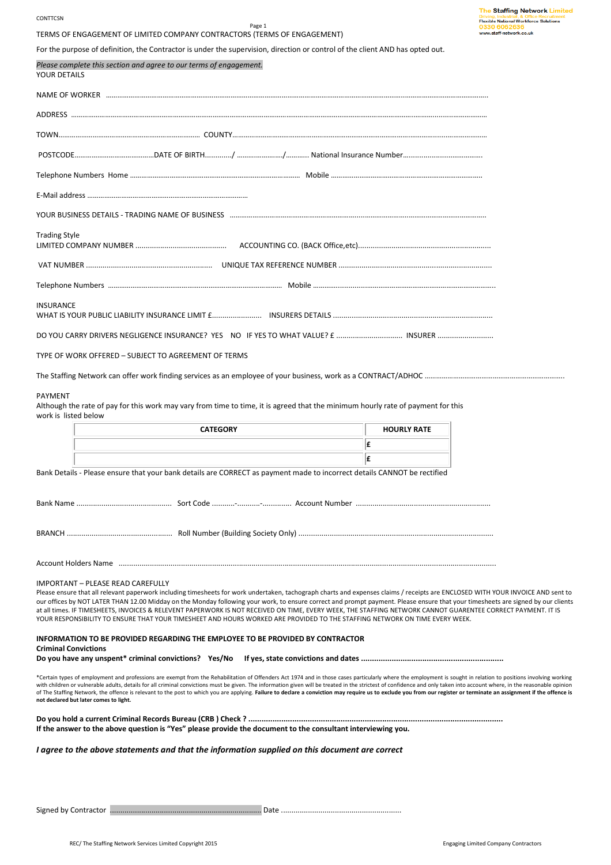#### **CONTTCSN**

Page 1 TERMS OF ENGAGEMENT OF LIMITED COMPANY CONTRACTORS (TERMS OF ENGAGEMENT)

For the purpose of definition, the Contractor is under the supervision, direction or control of the client AND has opted out.

*Please complete this section and agree to our terms of engagement.*  YOUR DETAILS NAME OF WORKER …………………………………………………………………………………………………………………………………………..…………………………………….. ADDRESS ………………………………………………………………………………………………………………………………………………………………..………..........……………… TOWN………………………………………………………………… COUNTY………………………………………………………………………………….………….......………………… POSTCODE…………………………………………DATE OF BIRTH…………/ ……………………………………National Insurance Number……………………… Telephone Numbers Home …………………………………………………………………………………… Mobile … E-Mail address .... YOUR BUSINESS DETAILS - TRADING NAME OF BUSINESS ……. Trading Style LIMITED COMPANY NUMBER ............................................ ACCOUNTING CO. (BACK Office,etc)................................................................ VAT NUMBER ............................................................. UNIQUE TAX REFERENCE NUMBER .......................................................................... Telephone Numbers …………………………………………..…………………………………… Mobile …………...............………………………………………………………….. **INSURANCE** WHAT IS YOUR PUBLIC LIABILITY INSURANCE LIMIT £........................ INSURERS DETAILS ............................................................................. DO YOU CARRY DRIVERS NEGLIGENCE INSURANCE? YES NO IF YES TO WHAT VALUE? £ ................................ INSURER ........................... TYPE OF WORK OFFERED – SUBJECT TO AGREEMENT OF TERMS The Staffing Network can offer work finding services as an employee of your business, work as a CONTRACT/ADHOC ……………………………………………………………… PAYMENT Although the rate of pay for this work may vary from time to time, it is agreed that the minimum hourly rate of payment for this work is listed below **CATEGORY CATEGORY HOURLY RATE £ £** Bank Details - Please ensure that your bank details are CORRECT as payment made to incorrect details CANNOT be rectified Bank Name .............................................. Sort Code ...........-...........-.............. Account Number ................................................................. BRANCH ................................................... Roll Number (Building Society Only) .............................................................................................. Account Holders Name ...................................................................................................................................................................................... IMPORTANT – PLEASE READ CAREFULLY Please ensure that all relevant paperwork including timesheets for work undertaken, tachograph charts and expenses claims / receipts are ENCLOSED WITH YOUR INVOICE AND sent to our offices by NOT LATER THAN 12.00 Midday on the Monday following your work, to ensure correct and prompt payment. Please ensure that your timesheets are signed by our clients at all times. IF TIMESHEETS, INVOICES & RELEVENT PAPERWORK IS NOT RECEIVED ON TIME, EVERY WEEK, THE STAFFING NETWORK CANNOT GUARENTEE CORRECT PAYMENT. IT IS YOUR RESPONSIBILITY TO ENSURE THAT YOUR TIMESHEET AND HOURS WORKED ARE PROVIDED TO THE STAFFING NETWORK ON TIME EVERY WEEK. **INFORMATION TO BE PROVIDED REGARDING THE EMPLOYEE TO BE PROVIDED BY CONTRACTOR Criminal Convictions Do you have any unspent\* criminal convictions? Yes/No If yes, state convictions and dates .................................................................**  \*Certain types of employment and professions are exempt from the Rehabilitation of Offenders Act 1974 and in those cases particularly where the employment is sought in relation to positions involving working with children or vulnerable adults, details for all criminal convictions must be given. The information given will be treated in the strictest of confidence and only taken into account where, in the reasonable opinion of The Staffing Network, the offence is relevant to the post to which you are applying. **Failure to declare a conviction may require us to exclude you from our register or terminate an assignment if the offence is not declared but later comes to light. Do you hold a current Criminal Records Bureau (CRB ) Check ? .................................................................................................................... If the answer to the above question is "Yes" please provide the document to the consultant interviewing you.** *I agree to the above statements and that the information supplied on this document are correct* 

Signed by Contractor ......................................................................... Date ..........................................................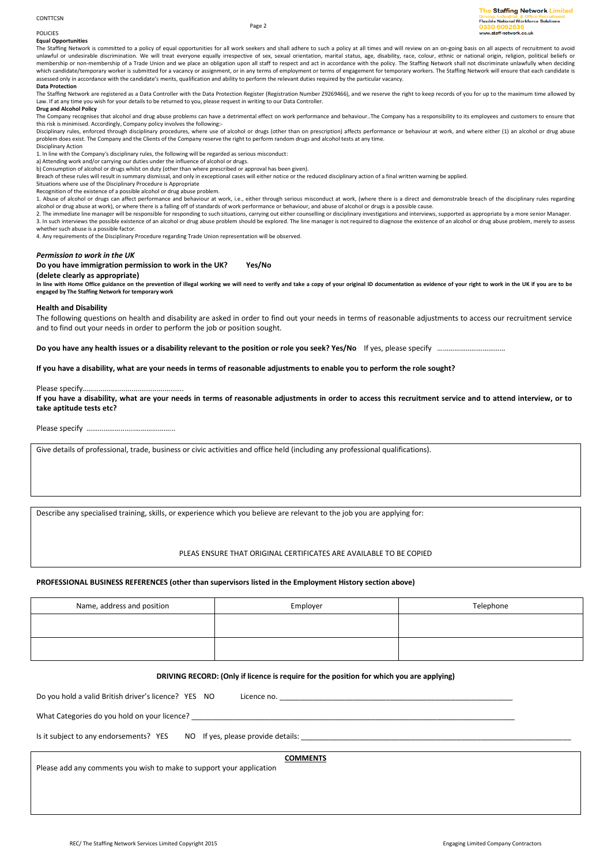# CONTTCSN

# **POLICIES**

**Equal Opportunities**  The Staffing Network is committed to a policy of equal opportunities for all work seekers and shall adhere to such a policy at all times and will review on an on-going basis on all aspects of recruitment to avoid unlawful or undesirable discrimination. We will treat everyone equally irrespective of sex, sexual orientation, marital status, age, disability, race, colour, ethnic or national origin, religion, political beliefs or<br>membe which candidate/temporary worker is submitted for a vacancy or assignment, or in any terms of employment or terms of engagement for temporary workers. The Staffing Network will ensure that each candidate is assessed only in accordance with the candidate's merits, qualification and ability to perform the relevant duties required by the particular vacancy.

Page 2

# **Data Protection**

The Staffing Network are registered as a Data Controller with the Data Protection Register (Registration Number Z9269466), and we reserve the right to keep records of you for up to the maximum time allowed by Law. If at any time you wish for your details to be returned to you, please request in writing to our Data Controller.

# **Drug and Alcohol Policy**

The Company recognises that alcohol and drug abuse problems can have a detrimental effect on work performance and behaviour..The Company has a responsibility to its employees and customers to ensure that this risk is minimised. Accordingly, Company policy involves the following:-

Disciplinary rules, enforced through disciplinary procedures, where use of alcohol or drugs (other than on prescription) affects performance or behaviour at work, and where either (1) an alcohol or drug abuse problem does exist. The Company and the Clients of the Company reserve the right to perform random drugs and alcohol tests at any time.

Disciplinary Action

1. In line with the Company's disciplinary rules, the following will be regarded as serious misconduct:

a) Attending work and/or carrying our duties under the influence of alcohol or drugs.

b) Consumption of alcohol or drugs whilst on duty (other than where prescribed or approval has been given). Breach of these rules will result in summary dismissal, and only in exceptional cases will either notice or the reduced disciplinary action of a final written warning be applied.

Situations where use of the Disciplinary Procedure is Appropriate

Recognition of the existence of a possible alcohol or drug abuse problem.

1. Abuse of alcohol or drugs can affect performance and behaviour at work, i.e., either through serious misconduct at work, (where there is a direct and demonstrable breach of the disciplinary rules regarding alcohol or drug abuse at work), or where there is a falling off of standards of work performance or behaviour, and abuse of alcohol or drugs is a possible cause.

2. The immediate line manager will be responsible for responding to such situations, carrying out either counselling or disciplinary investigations and interviews, supported as appropriate by a more senior Manager. 3. In such interviews the possible existence of an alcohol or drug abuse problem should be explored. The line manager is not required to diagnose the existence of an alcohol or drug abuse problem, merely to assess whether such abuse is a possible factor.

4. Any requirements of the Disciplinary Procedure regarding Trade Union representation will be observed.

## *Permission to work in the UK*

**Do you have immigration permission to work in the UK? Yes/No** 

### **(delete clearly as appropriate)**  In line with Home Office guidance on the prevention of illegal working we will need to verify and take a copy of your riginal ID documentation as evidence of your right to work in the UK if you are to be **engaged by The Staffing Network for temporary work**

**Health and Disability** 

The following questions on health and disability are asked in order to find out your needs in terms of reasonable adjustments to access our recruitment service and to find out your needs in order to perform the job or position sought.

**Do you have any health issues or a disability relevant to the position or role you seek? Yes/No** If yes, please specify ………………………………

**If you have a disability, what are your needs in terms of reasonable adjustments to enable you to perform the role sought?** 

# Please specify………

**If you have a disability, what are your needs in terms of reasonable adjustments in order to access this recruitment service and to attend interview, or to take aptitude tests etc?** 

Please specify ……………….......………………...

Give details of professional, trade, business or civic activities and office held (including any professional qualifications).

Describe any specialised training, skills, or experience which you believe are relevant to the job you are applying for:

# PLEAS ENSURE THAT ORIGINAL CERTIFICATES ARE AVAILABLE TO BE COPIED

# **PROFESSIONAL BUSINESS REFERENCES (other than supervisors listed in the Employment History section above)**

| Name, address and position | Employer | Telephone |
|----------------------------|----------|-----------|
|                            |          |           |
|                            |          |           |
|                            |          |           |
|                            |          |           |

## **DRIVING RECORD: (Only if licence is require for the position for which you are applying)**

Do you hold a valid British driver's licence? YES NO Licence no.

What Categories do you hold on your licence?

Is it subject to any endorsements? YES NO If yes, please provide details:

**COMMENTS**

Please add any comments you wish to make to support your application

The Staffing Network Limited **Flexible National Workforce Solutions** chaff-naturark.co.uk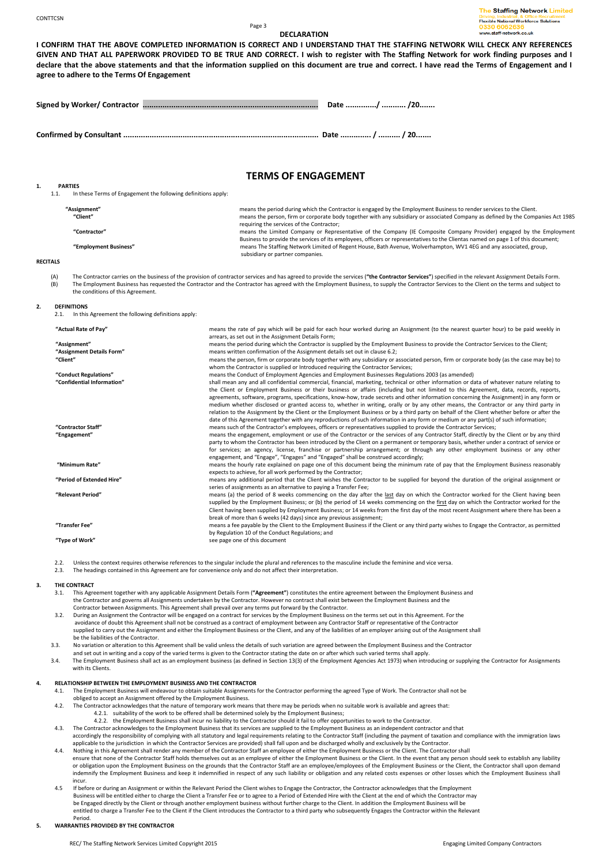### Page 3 **DECLARATION**

| I CONFIRM THAT THE ABOVE COMPLETED INFORMATION IS CORRECT AND I UNDERSTAND THAT THE STAFFING NETWORK WILL CHECK ANY REFERENCES                       |
|------------------------------------------------------------------------------------------------------------------------------------------------------|
| GIVEN AND THAT ALL PAPERWORK PROVIDED TO BE TRUE AND CORRECT. I wish to register with The Staffing Network for work finding purposes and I           |
| declare that the above statements and that the information supplied on this document are true and correct. I have read the Terms of Engagement and I |
| agree to adhere to the Terms Of Engagement                                                                                                           |

**Signed by Worker/ Contractor ................................................................................ Date ............../ ........... /20.......** 

**Confirmed by Consultant ......................................................................................... Date .............. / .......... / 20.......** 

# **TERMS OF ENGAGEMENT**

**1. PARTIES**  In these Terms of Engagement the following definitions apply:

| "Assignment"          | means the period during which the Contractor is engaged by the Employment Business to render services to the Client.             |
|-----------------------|----------------------------------------------------------------------------------------------------------------------------------|
| "Client"              | means the person, firm or corporate body together with any subsidiary or associated Company as defined by the Companies Act 1985 |
|                       | requiring the services of the Contractor;                                                                                        |
| "Contractor"          | means the Limited Company or Representative of the Company (IE Composite Company Provider) engaged by the Employment             |
|                       | Business to provide the services of its employees, officers or representatives to the Clientas named on page 1 of this document; |
| "Employment Business" | means The Staffing Network Limited of Regent House, Bath Avenue, Wolverhampton, WV1 4EG and any associated, group,               |
|                       | subsidiary or partner companies.                                                                                                 |

## **RECITALS**

(A) The Contractor carries on the business of the provision of contractor services and has agreed to provide the services (**"the Contractor Services"**) specified in the relevant Assignment Details Form.<br>(B) The Employment The Employment Business has requested the Contractor and the Contractor has agreed with the Employment Business, to supply the Contractor Services to the Client on the terms and subject to the conditions of this Agreement.

#### **2. DEFINITIONS**

2.1. In this Agreement the following definitions apply:

| "Actual Rate of Pay"       | means the rate of pay which will be paid for each hour worked during an Assignment (to the nearest quarter hour) to be paid weekly in       |
|----------------------------|---------------------------------------------------------------------------------------------------------------------------------------------|
|                            | arrears, as set out in the Assignment Details Form;                                                                                         |
| "Assignment"               | means the period during which the Contractor is supplied by the Employment Business to provide the Contractor Services to the Client;       |
| "Assignment Details Form"  | means written confirmation of the Assignment details set out in clause 6.2;                                                                 |
| "Client"                   | means the person, firm or corporate body together with any subsidiary or associated person, firm or corporate body (as the case may be) to  |
|                            | whom the Contractor is supplied or Introduced requiring the Contractor Services;                                                            |
| "Conduct Regulations"      | means the Conduct of Employment Agencies and Employment Businesses Regulations 2003 (as amended)                                            |
| "Confidential Information" | shall mean any and all confidential commercial, financial, marketing, technical or other information or data of whatever nature relating to |
|                            | the Client or Employment Business or their business or affairs (including but not limited to this Agreement, data, records, reports,        |
|                            | agreements, software, programs, specifications, know-how, trade secrets and other information concerning the Assignment) in any form or     |
|                            |                                                                                                                                             |
|                            | medium whether disclosed or granted access to, whether in writing, orally or by any other means, the Contractor or any third party in       |
|                            | relation to the Assignment by the Client or the Employment Business or by a third party on behalf of the Client whether before or after the |
|                            | date of this Agreement together with any reproductions of such information in any form or medium or any part(s) of such information;        |
| "Contractor Staff"         | means such of the Contractor's employees, officers or representatives supplied to provide the Contractor Services;                          |
| "Engagement"               | means the engagement, employment or use of the Contractor or the services of any Contractor Staff, directly by the Client or by any third   |
|                            | party to whom the Contractor has been introduced by the Client on a permanent or temporary basis, whether under a contract of service or    |
|                            | for services; an agency, license, franchise or partnership arrangement; or through any other employment business or any other               |
|                            | engagement, and "Engage", "Engages" and "Engaged" shall be construed accordingly;                                                           |
| "Minimum Rate"             | means the hourly rate explained on page one of this document being the minimum rate of pay that the Employment Business reasonably          |
|                            | expects to achieve, for all work performed by the Contractor;                                                                               |
|                            |                                                                                                                                             |
| "Period of Extended Hire"  | means any additional period that the Client wishes the Contractor to be supplied for beyond the duration of the original assignment or      |
|                            | series of assignments as an alternative to paying a Transfer Fee;                                                                           |
| "Relevant Period"          | means (a) the period of 8 weeks commencing on the day after the last day on which the Contractor worked for the Client having been          |
|                            | supplied by the Employment Business; or (b) the period of 14 weeks commencing on the first day on which the Contractor worked for the       |
|                            | Client having been supplied by Employment Business; or 14 weeks from the first day of the most recent Assignment where there has been a     |
|                            | break of more than 6 weeks (42 days) since any previous assignment;                                                                         |
| "Transfer Fee"             | means a fee payable by the Client to the Employment Business if the Client or any third party wishes to Engage the Contractor, as permitted |
|                            | by Regulation 10 of the Conduct Regulations; and                                                                                            |
| "Type of Work"             | see page one of this document                                                                                                               |
|                            |                                                                                                                                             |

2.2. Unless the context requires otherwise references to the singular include the plural and references to the masculine include the feminine and vice versa.

2.3. The headings contained in this Agreement are for convenience only and do not affect their interpretation.

# **THE CONTRACT**<br>3.1. This Agr

- 3.1. This Agreement together with any applicable Assignment Details Form (**"Agreement"**) constitutes the entire agreement between the Employment Business and the Contractor and governs all Assignments undertaken by the Contractor. However no contract shall exist between the Employment Business and the Contractor between Assignments. This Agreement shall prevail over any terms put forward by the Contractor.
- 3.2. During an Assignment the Contractor will be engaged on a contract for services by the Employment Business on the terms set out in this Agreement. For the<br>avoidance of doubt this Agreement shall not be construed as a c supplied to carry out the Assignment and either the Employment Business or the Client, and any of the liabilities of an employer arising out of the Assignment shall be the liabilities of the Contractor.<br>3.3. No variation or alteration to this A
- 3.3. No variation or alteration to this Agreement shall be valid unless the details of such variation are agreed between the Employment Business and the Contractor
- 
- and set out in writing and a copy of the varied terms is given to the Contractor stating the date on or after which such varied terms shall apply.<br>The Employment Business shall act as an employment business (as defined in 3.4. The Employment Business shall act as an employment business (as defined in Section 13(3) of the Employment Agencies Act 1973) when introducing or supplying the Contractor for Assignments with its Clients.

## **4. RELATIONSHIP BETWEEN THE EMPLOYMENT BUSINESS AND THE CONTRACTOR**

- 4.1. The Employment Business will endeavour to obtain suitable Assignments for the Contractor performing the agreed Type of Work. The Contractor shall not be obliged to accept an Assignment offered by the Employment Business.
- 4.2. The Contractor acknowledges that the nature of temporary work means that there may be periods when no suitable work is available and agrees that: 4.2.1. suitability of the work to be offered shall be determined solely by the Employment Business;
	- 4.2.2. the Employment Business shall incur no liability to the Contractor should it fail to offer opportunities to work to the Contractor.
- 4.3. The Contractor acknowledges to the Employment Business that its services are supplied to the Employment Business as an independent contractor and that<br>accordingly the responsibility of complying with all statutory and
- applicable to the jurisdiction in which the Contractor Services are provided) shall fall upon and be discharged wholly and exclusively by the Contractor. 4.4. Nothing in this Agreement shall render any member of the Contractor Staff an employee of either the Employment Business or the Client. The Contractor shall
- ensure that none of the Contractor Staff holds themselves out as an employee of either the Employment Business or the Client. In the event that any person should seek to establish any liability are experiently and the even or obligation upon the Employment Business on the grounds that the Contractor Staff are an employee/employees of the Employment Business or the Client, the Contractor shall upon demand indemnify the Employment Business and keep it indemnified in respect of any such liability or obligation and any related costs expenses or other losses which the Employment Business shall incur.
- 4.5 If before or during an Assignment or within the Relevant Period the Client wishes to Engage the Contractor, the Contractor acknowledges that the Employment Business will be entitled either to charge the Client a Transfer Fee or to agree to a Period of Extended Hire with the Client at the end of which the Contractor may be Engaged directly by the Client or through another employment business without further charge to the Client. In addition the Employment Business will be entitled to charge a Transfer Fee to the Client if the Client introduces the Contractor to a third party who subsequently Engages the Contractor within the Relevant Period.

#### **5. WARRANTIES PROVIDED BY THE CONTRACTOR**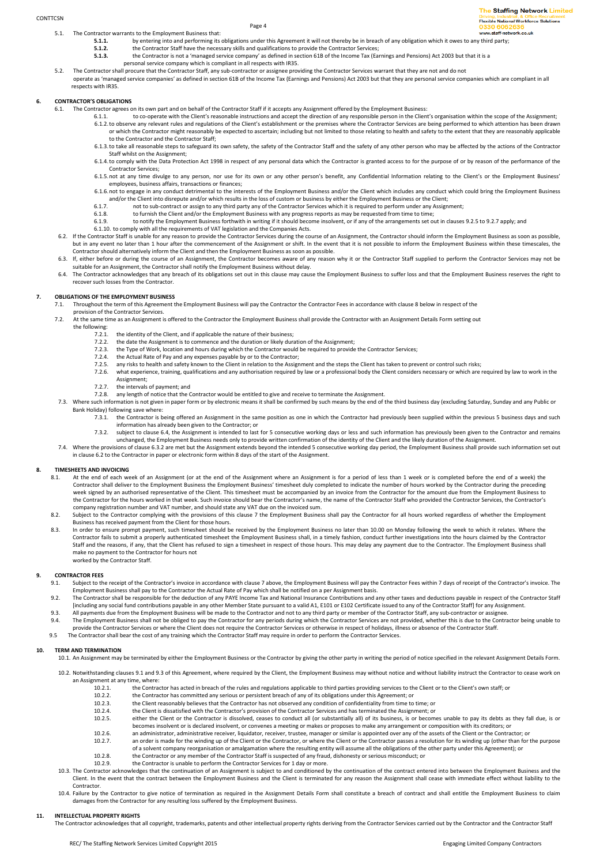5.1. The Contractor warrants to the Employment Business that:

Page 4

- **5.1.1.** by entering into and performing its obligations under this Agreement it will not thereby be in breach of any obligation which it owes to any third party;<br>**5.1.2.** by entering into and performing its obligations un **5.1.2.** the Contractor Staff have the necessary skills and qualifications to provide the Contractor Services;
	-
- the Contractor is not a 'managed service company' as defined in section 61B of the Income Tax (Earnings and Pensions) Act 2003 but that it is a personal service company which is compliant in all respects with IR35.
- 5.2. The Contractor shall procure that the Contractor Staff, any sub-contractor or assignee providing the Contractor Services warrant that they are not and do not
	- operate as 'managed service companies' as defined in section 61B of the Income Tax (Earnings and Pensions) Act 2003 but that they are personal service companies which are compliant in all respects with IR35.

# **6. CONTRACTOR'S OBLIGATIONS**

- 6.1. The Contractor agrees on its own part and on behalf of the Contractor Staff if it accepts any Assignment offered by the Employment Business:
	- to co-operate with the Client's reasonable instructions and accept the direction of any responsible person in the Client's organisation within the scope of the Assignment;<br>6.1.2. to observe any relevant rules and regulatio or which the Contractor might reasonably be expected to ascertain; including but not limited to those relating to health and safety to the extent that they are reasonably applicable to the Contractor and the Contractor Staff;
	- 6.1.3.to take all reasonable steps to safeguard its own safety, the safety of the Contractor Staff and the safety of any other person who may be affected by the actions of the Contractor Staff whilst on the Assignment;
	- 6.1.4.to comply with the Data Protection Act 1998 in respect of any personal data which the Contractor is granted access to for the purpose of or by reason of the performance of the Contractor Services;
	- 6.1.5.not at any time divulge to any person, nor use for its own or any other person's benefit, any Confidential Information relating to the Client's or the Employment Business' employees, business affairs, transactions or finances;
	- 6.1.6.not to engage in any conduct detrimental to the interests of the Employment Business and/or the Client which includes any conduct which could bring the Employment Business and/or the Client into disrepute and/or which results in the loss of custom or business by either the Employment Business or the Client;
	- 6.1.7. not to sub-contract or assign to any third party any of the Contractor Services which it is required to perform under any Assignment;
	- 6.1.8. to furnish the Client and/or the Employment Business with any progress reports as may be requested from time to time;<br>6.1.9. to notify the Employment Business forthwith in writing if it should become insolvent, or i
	- to notify the Employment Business forthwith in writing if it should become insolvent, or if any of the arrangements set out in clauses 9.2.5 to 9.2.7 apply; and
	- 6.1.10. to comply with all the requirements of VAT legislation and the Companies Acts.
- 6.2. If the Contractor Staff is unable for any reason to provide the Contractor Services during the course of an Assignment, the Contractor should inform the Employment Business as soon as possible, but in any event no later than 1 hour after the commencement of the Assignment or shift. In the event that it is not possible to inform the Employment Business within these timescales, the<br>Contractor should alternatively i
- 6.3. If, either before or during the course of an Assignment, the Contractor becomes aware of any reason why it or the Contractor Staff supplied to perform the Contractor Services may not be suitable for an Assignment, the Contractor shall notify the Employment Business without delay.
- FIGURE CONTRACTOR ACCOMMENT IN A SURFACTOR CONTRACTOR ACCOMMENT AND THE CONTRACTOR CONTRACTOR ACCOMMENT AND THE CONTRACTOR CONTRACTOR ACCOMMENT BUSINESS TO SUFFER LOSS AND THE CONTRACTOR ACCOMMENT BUSINESS TO SUFFER DOSS A recover such losses from the Contractor.

## **7. OBLIGATIONS OF THE EMPLOYMENT BUSINESS**

7.1. Throughout the term of this Agreement the Employment Business will pay the Contractor the Contractor Fees in accordance with clause 8 below in respect of the

# provision of the Contractor Services.<br>
22. At the same time as an Assignment in

- 7.2. At the same time as an Assignment is offered to the Contractor the Employment Business shall provide the Contractor with an Assignment Details Form setting out the following:<br>7.2.1.
	- 7.2.1. the identity of the Client, and if applicable the nature of their business;<br>7.2.2. the date the Assignment is to commence and the duration or likely dura
	-
	- 7.2.2. the date the Assignment is to commence and the duration or likely duration of the Assignment;<br>7.2.3. the Type of Work, location and hours during which the Contractor would be required to provide the Contractor Servi
	- 7.2.4. the Actual Rate of Pay and any expenses payable by or to the Contractor;
	- 7.2.5. any risks to health and safety known to the Client in relation to the Assignment and the steps the Client has taken to prevent or control such risks;
	- 7.2.6. what experience, training, qualifications and any authorisation required by law or a professional body the Client considers necessary or which are required by law to work in the
	- Assignment; 7.2.7. the intervals of payment; and
- 7.2.8. any length of notice that the Contractor would be entitled to give and receive to terminate the Assignment.
- 7.3. Where such information is not given in paper form or by electronic means it shall be confirmed by such means by the end of the third business day (excluding Saturday, Sunday and any Public or Bank Holiday) following save where:
	- 7.3.1. the Contractor is being offered an Assignment in the same position as one in which the Contractor had previously been supplied within the previous 5 business days and such information has already been given to the Contractor; or
	- 7.3.2. subject to clause 6.4, the Assignment is intended to last for 5 consecutive working days or less and such information has previously been given to the Contractor and remains
- unchanged, the Employment Business needs only to provide written confirmation of the identity of the Client and the likely duration of the Assignment.<br>7.4. Where the provisions of clause 6.3.2 are met but the Assignment ex in clause 6.2 to the Contractor in paper or electronic form within 8 days of the start of the Assignment.

# **TIMESHEETS AND INVOICING**<br>8.1. At the end of each we

- At the end of each week of an Assignment (or at the end of the Assignment where an Assignment is for a period of less than 1 week or is completed before the end of a week) the Contractor shall deliver to the Employment Business the Employment Business' timesheet duly completed to indicate the number of hours worked by the Contractor during the preceding week signed by an authorised representative of the Client. This timesheet must be accompanied by an invoice from the Contractor for the amount due from the Employment Business to the Contractor for the hours worked in that week. Such invoice should bear the Contractor's name, the name of the Contractor Staff who provided the Contractor Services, the Contractor's company registration number and VAT number, and should state any VAT due on the invoiced sum.
- 8.2. Subject to the Contractor complying with the provisions of this clause 7 the Employment Business shall pay the Contractor for all hours worked regardless of whether the Employment<br>Business has received payment from th
- 8.3. In order to ensure prompt payment, such timesheet should be received by the Employment Business no later than 10.00 on Monday following the week to which it relates. Where the Contractor fails to submit a properly authenticated timesheet the Employment Business shall, in a timely fashion, conduct further investigations into the hours claimed by the Contractor<br>Staff and the reasons, if any, that make no payment to the Contractor for hours not worked by the Contractor Staff.

#### **9. CONTRACTOR FEES**

- Subject to the receipt of the Contractor's invoice in accordance with clause 7 above, the Employment Business will pay the Contractor Fees within 7 days of receipt of the Contractor's invoice. The Employment Business shall pay to the Contractor the Actual Rate of Pay which shall be notified on a per Assignment basis.
- 9.2. The Contractor shall be responsible for the deduction of any PAYE Income Tax and National Insurance Contributions and any other taxes and deductions payable in respect of the Contractor Staff [including any social fund contributions payable in any other Member State pursuant to a valid A1, E101 or E102 Certificate issued to any of the Contractor Staff] for any Assignment.
- 9.3. All payments due from the Employment Business will be made to the Contractor and not to any third party or member of the Contractor Staff, any sub-contractor or assignee. 9.4. The Employment Business shall not be obliged to pay the Contractor for any periods during which the Contractor Services are not provided, whether this is due to the Contractor being unable to the Contractor being unab
- provide the Contractor Services or where the Client does not require the Contractor Services or otherwise in respect of holidays, illness or absence of the Contractor Staff.
- 9.5 The Contractor shall bear the cost of any training which the Contractor Staff may require in order to perform the Contractor Services.

#### **10. TERM AND TERMINATION**

- 10.1. An Assignment may be terminated by either the Employment Business or the Contractor by giving the other party in writing the period of notice specified in the relevant Assignment Details Form.
	- 10.2. Notwithstanding clauses 9.1 and 9.3 of this Agreement, where required by the Client, the Employment Business may without notice and without liability instruct the Contractor to cease work on an Assignment at any time, where:
		- 10.2.1. the Contractor has acted in breach of the rules and regulations applicable to third parties providing services to the Client or to the Client's own staff; or
		- 10.2.2. the Contractor has committed any serious or persistent breach of any of its obligations under this Agreement; or<br>10.2.3. the Client reasonably believes that the Contractor has not observed any condition of confiden
		- 10.2.3. the Client reasonably believes that the Contractor has not observed any condition of confidentiality from time to time; or<br>10.2.4 the Client is dissatisfied with the Contractor's provision of the Contractor Service
		- 10.2.4. the Client is dissatisfied with the Contractor's provision of the Contractor Services and has terminated the Assignment; or 10.2.5. either the Client or the Contractor is dissolved, ceases to conduct all (or substa
		- either the Client or the Contractor is dissolved, ceases to conduct all (or substantially all) of its business, is or becomes unable to pay its debts as they fall due, is or becomes insolvent or is declared insolvent, or convenes a meeting or makes or proposes to make any arrangement or composition with its creditors; or
		- 10.2.6. an administrator, administrative receiver, liquidator, receiver, trustee, manager or similar is appointed over any of the assets of the Client or the Contractor; or<br>10.2.7. an order is made for the winding un of th
		- an order is made for the winding up of the Client or the Contractor, or where the Client or the Contractor passes a resolution for its winding up (other than for the purpose of a solvent company reorganisation or amalgamation where the resulting entity will assume all the obligations of the other party under this Agreement); or 10.2.8. the Contractor or any member of the Contractor Staff is suspected of any fraud, dishonesty or serious misconduct; or
		-
	- 10.2.9. the Contractor is unable to perform the Contractor Services for 1 day or more.<br>10.3. The Contractor acknowledges that the continuation of an Assignment is subject to and conditioned by the continuation of the contr Client. In the event that the contract between the Employment Business and the Client is terminated for any reason the Assignment shall cease with immediate effect without liability to the **Contractor**
- 10.4. Failure by the Contractor to give notice of termination as required in the Assignment Details Form shall constitute a breach of contract and shall entitle the Employment Business to claim damages from the Contractor for any resulting loss suffered by the Employment Business.

### **11. INTELLECTUAL PROPERTY RIGHTS**

The Contractor acknowledges that all copyright, trademarks, patents and other intellectual property rights deriving from the Contractor Services carried out by the Contractor and the Contractor Staff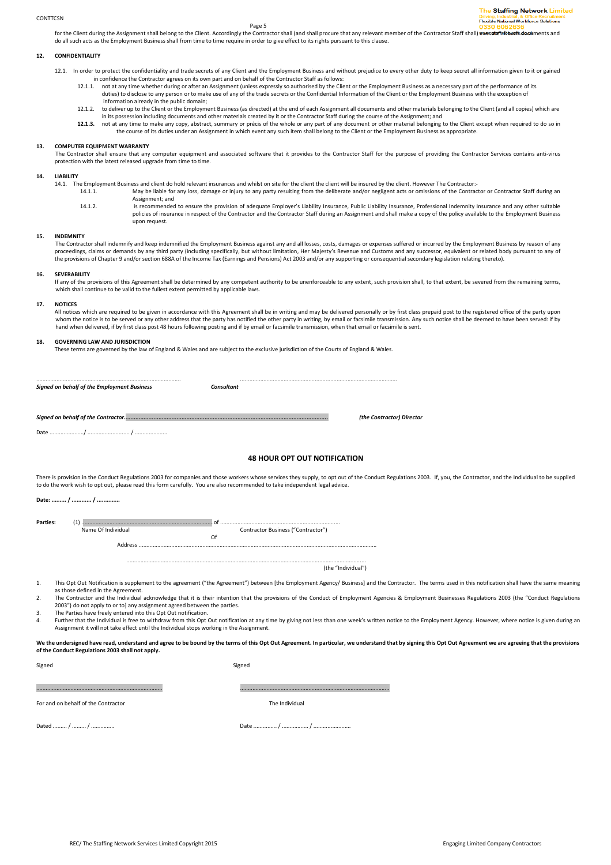for the Client during the Assignment shall belong to the Client. Accordingly the Contractor shall (and shall procure that any relevant member of the Contractor Staff shall) execute fall bure all all all all such documents do all such acts as the Employment Business shall from time to time require in order to give effect to its rights pursuant to this clause.

#### **12. CONFIDENTIALITY**

- 12.1. In order to protect the confidentiality and trade secrets of any Client and the Employment Business and without prejudice to every other duty to keep secret all information given to it or gained in confidence the Contractor agrees on its own part and on behalf of the Contractor Staff as follows:
	- 12.1.1. not at any time whether during or after an Assignment (unless expressly so authorised by the Client or the Employment Business as a necessary part of the performance of its duties) to disclose to any person or to make use of any of the trade secrets or the Confidential Information of the Client or the Employment Business with the exception of information already in the public domain;
	- 12.1.2. to deliver up to the Client or the Employment Business (as directed) at the end of each Assignment all documents and other materials belonging to the Client (and all copies) which are
	- in its possession including documents and other materials created by it or the Contractor Staff during the course of the Assignment; and<br>12.1.3. not at any time to make any copy, abstract, summary or précis of the whole or the course of its duties under an Assignment in which event any such item shall belong to the Client or the Employment Business as appropriate.

#### **13. COMPUTER EQUIPMENT WARRANTY**

The Contractor shall ensure that any computer equipment and associated software that it provides to the Contractor Staff for the purpose of providing the Contractor Services contains anti-virus protection with the latest released upgrade from time to time.

### **14. LIABILITY**

14.1. The Employment Business and client do hold relevant insurances and whilst on site for the client the client will be insured by the client. However The Contractor:- 14.1.1. May be liable for any loss, damage or injury to any party resulting from the deliberate and/or negligent acts or omissions of the Contractor or Contractor Staff during an

Assignment; and 14.1.2. is recommended to ensure the provision of adequate Employer's Liability Insurance, Public Liability Insurance, Professional Indemnity Insurance and any other suitable policies of insurance in respect of the Contractor and the Contractor Staff during an Assignment and shall make a copy of the policy available to the Employment Business .<br>upon request.

#### **15. INDEMNITY**

The Contractor shall indemnify and keep indemnified the Employment Business against any and all losses, costs, damages or expenses suffered or incurred by the Employment Business by reason of any<br>proceedings, claims or dem the provisions of Chapter 9 and/or section 688A of the Income Tax (Earnings and Pensions) Act 2003 and/or any supporting or consequential secondary legislation relating thereto).

#### **16. SEVERABILITY**

If any of the provisions of this Agreement shall be determined by any competent authority to be unenforceable to any extent, such provision shall, to that extent, be severed from the remaining terms, which shall continue to be valid to the fullest extent permitted by applicable laws.

#### **17. NOTICES**

All notices which are required to be given in accordance with this Agreement shall be in writing and may be delivered personally or by first class prepaid post to the registered office of the party upon whom the notice is to be served or any other address that the party has notified the other party in writing, by email or facsimile transmission. Any such notice shall be deemed to have been served: if by hand when delivered, if by first class post 48 hours following posting and if by email or facsimile transmission, when that email or facsimile is sent.

#### **18. GOVERNING LAW AND JURISDICTION**

These terms are governed by the law of England & Wales and are subject to the exclusive jurisdiction of the Courts of England & Wales.

............................................................................................. ..................................................................................................... *Signed on behalf of the Employment Business Consultant* 

*Signed on behalf of the Contractor............................................................................................................................ (the Contractor) Director* 

Date ....................../ ........................... / .....................

# **48 HOUR OPT OUT NOTIFICATION**

There is provision in the Conduct Regulations 2003 for companies and those workers whose services they supply, to opt out of the Conduct Regulations 2003. If, you, the Contractor, and the Individual to be supplied to do the work wish to opt out, please read this form carefully. You are also recommended to take independent legal advice.

**Date: ......... / ............ / ..............** 

|  | r | <br>$\sim$ | ÷<br>- -<br>M. |  |
|--|---|------------|----------------|--|
|  |   |            |                |  |
|  |   |            |                |  |

**Parties:** (1) .....................................................................................of ............................................................................. Contractor Business ("Contractor") **Of Of** Address .........................................................................................................................................................

> .......................................................................................................................................................... (the "Individual")

1. This Opt Out Notification is supplement to the agreement ("the Agreement") between [the Employment Agency/ Business] and the Contractor. The terms used in this notification shall have the same meaning as those defined in the Agreement.

2. The Contractor and the Individual acknowledge that it is their intention that the provisions of the Conduct of Employment Agencies & Employment Businesses Regulations 2003 (the "Conduct Regulations") 2003") do not apply to or to] any assignment agreed between the parties.

3. The Parties have freely entered into this Opt Out notification.

4. Further that the Individual is free to withdraw from this Opt Out notification at any time by giving not less than one week's written notice to the Employment Agency. However, where notice is given during an Assignment it will not take effect until the Individual stops working in the Assignment.

We the undersigned have read, understand and agree to be bound by the terms of this Opt Out Agreement. In particular, we understand that by signing this Opt Out Agreement we are agreeing that the provisions **of the Conduct Regulations 2003 shall not apply.** 

Signed Signed Signed Signed Signed Signed Signed Signed Signed Signed Signed Signed Signed Signed Signed Signed

................................................................................. ................................................................................................

For and on behalf of the Contractor The Individual

Dated ......... / ......... / ............... Date ............... / ................. / ........................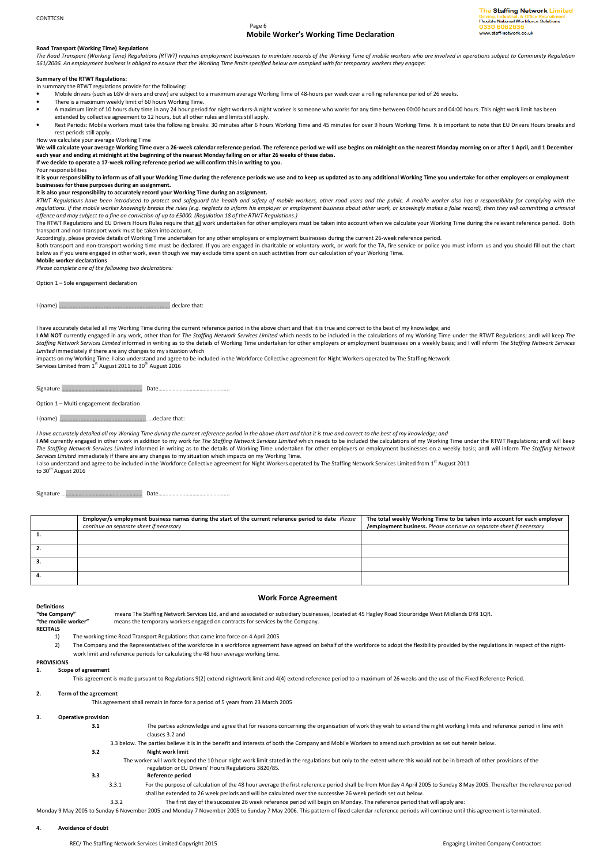# Page 6 **Mobile Worker's Working Time Declaration**

The Staffing Network Limited **Flexible National Workforce Solutions** w.staff-network.co.uk

# **Road Transport (Working Time) Regulations**

*The Road Transport (Working Time) Regulations (RTWT) requires employment businesses to maintain records of the Working Time of mobile workers who are involved in operations subject to Community Regulation 561/2006. An employment business is obliged to ensure that the Working Time limits specified below are complied with for temporary workers they engage:* 

#### **Summary of the RTWT Regulations:**

In summary the RTWT regulations provide for the following:

- Mobile drivers (such as LGV drivers and crew) are subject to a maximum average Working Time of 48-hours per week over a rolling reference period of 26 weeks.
- There is a maximum weekly limit of 60 hours Working Time. • A maximum limit of 10 hours duty time in any 24 hour period for night workers-A night worker is someone who works for any time between 00:00 hours and 04:00 hours. This night work limit has been
- extended by collective agreement to 12 hours, but all other rules and limits still apply.
- Rest Periods: Mobile workers must take the following breaks: 30 minutes after 6 hours Working Time and 45 minutes for over 9 hours Working Time. It is important to note that EU Drivers Hours breaks and rest periods still apply.
- 

How we calculate your average Working Time<br>We will calculate your average Working Time over a 26-week calendar reference period. The reference period we will use begins on midnight on the nearest Monday morning on or after **each year and ending at midnight at the beginning of the nearest Monday falling on or after 26 weeks of these dates.** 

**If we decide to operate a 17-week rolling reference period we will confirm this in writing to you.** 

Your responsibilities

It is your responsibility to inform us of all your Working Time during the reference periods we use and to keep us updated as to any additional Working Time you undertake for other employers or employment **businesses for these purposes during an assignment.** 

# **It is also your responsibility to accurately record your Working Time during an assignment.**

*RTWT Regulations have been introduced to protect and safeguard the health and safety of mobile workers, other road users and the public. A mobile worker also has a responsibility for complying with the regulations. If the mobile worker knowingly breaks the rules (e.g. neglects to inform his employer or employment business about other work, or knowingly makes a false record), then they will committing a criminal offence and may subject to a fine on conviction of up to £5000. (Regulation 18 of the RTWT Regulations.)* 

The RTWT Regulations and EU Drivers Hours Rules require that all work undertaken for other employers must be taken into account when we calculate your Working Time during the relevant reference period. Both transport and non-transport work must be taken into account.

Accordingly, please provide details of Working Time undertaken for any other employers or employment businesses during the current 26-week reference period.<br>Both transport and non-transport working time must be declared. I below as if you were engaged in other work, even though we may exclude time spent on such activities from our calculation of your Working Time.

## **Mobile worker declarations**

*Please complete one of the following two declarations:* 

Option 1 – Sole engagement declaration

#### I (name) ....................................................................…..declare that:

I have accurately detailed all my Working Time during the current reference period in the above chart and that it is true and correct to the best of my knowledge; and

**I AM NOT** currently engaged in any work, other than for *The Staffing Network Services Limited* which needs to be included in the calculations of my Working Time under the RTWT Regulations; andI will keep *The*<br>Staffing N *Limited* immediately if there are any changes to my situation which

impacts on my Working Time. I also understand and agree to be included in the Workforce Collective agreement for Night Workers operated by The Staffing Network

Services Limited from 1<sup>st</sup> August 2011 to 30<sup>th</sup> August 2016

Signature ………………………………………………… Date…………………………………………..

Option 1 – Multi engagement declaration

I (name) ........................................................…..declare that:

*I have accurately detailed all my Working Time during the current reference period in the above chart and that it is true and correct to the best of my knowledge; and* 

I AM currently engaged in other work in addition to my work for *The Staffing Network Services Limited* which needs to be included the calculations of my Working Time under the RTWT Regulations; andI will keep *The Staffing Network Services Limited* informed in writing as to the details of Working Time undertaken for other employers or employment businesses on a weekly basis; andI will inform *The Staffing Network Services Limited* immediately if there are any changes to my situation which impacts on my Working Time.

I also understand and agree to be included in the Workforce Collective agreement for Night Workers operated by The Staffing Network Services Limited from 1<sup>st</sup> August 2011<br>to 30<sup>th</sup> August 2016

Signature ………………………………………………… Date…………………………………………..

|    | Employer/s employment business names during the start of the current reference period to date Please | The total weekly Working Time to be taken into account for each employer |  |  |  |  |
|----|------------------------------------------------------------------------------------------------------|--------------------------------------------------------------------------|--|--|--|--|
|    | continue on separate sheet if necessary                                                              | /employment business. Please continue on separate sheet if necessary     |  |  |  |  |
|    |                                                                                                      |                                                                          |  |  |  |  |
| 2. |                                                                                                      |                                                                          |  |  |  |  |
| з. |                                                                                                      |                                                                          |  |  |  |  |
| 4. |                                                                                                      |                                                                          |  |  |  |  |

**Definitions** 

# **Work Force Agreement**

"the Company" means The Staffing Network Services Ltd, and and associated or subsidiary businesses, located at 45 Hagley Road Stourbridge West Midlands DY8 1QR.<br>"the mobile worker" means the temporary workers engaged on co means the temporary workers engaged on contracts for services by the Company.

- **RECITALS** 
	- 1) The working time Road Transport Regulations that came into force on 4 April 2005
- 2) The Company and the Representatives of the workforce in a workforce agreement have agreed on behalf of the workforce to adopt the flexibility provided by the regulations in respect of the nightwork limit and reference periods for calculating the 48 hour average working time.

#### **PROVISIONS**

#### **1. Scope of agreement**

This agreement is made pursuant to Regulations 9(2) extend nightwork limit and 4(4) extend reference period to a maximum of 26 weeks and the use of the Fixed Reference Period.

**2. Term of the agreement**

This agreement shall remain in force for a period of 5 years from 23 March 2005

# **3. Operative provision**

**3.1** The parties acknowledge and agree that for reasons concerning the organisation of work they wish to extend the night working limits and reference period in line with clauses 3.2 and

3.3 below. The parties believe it is in the benefit and interests of both the Company and Mobile Workers to amend such provision as set out herein below. **3.2 Night work limit**

- The worker will work beyond the 10 hour night work limit stated in the regulations but only to the extent where this would not be in breach of other provisions of the regulation or EU Drivers' Hours Regulations 3820/85.
- **3.3 Reference period**
- 3.3.1 For the purpose of calculation of the 48 hour average the first reference period shall be from Monday 4 April 2005 to Sunday 8 May 2005. Thereafter the reference period shall be extended to 26 week periods and will be calculated over the successive 26 week periods set out below.

3.3.2 The first day of the successive 26 week reference period will begin on Monday. The reference period that will apply are:

Monday 9 May 2005 to Sunday 6 November 2005 and Monday 7 November 2005 to Sunday 7 May 2006. This pattern of fixed calendar reference periods will continue until this agreement is terminated.

### **4. Avoidance of doubt**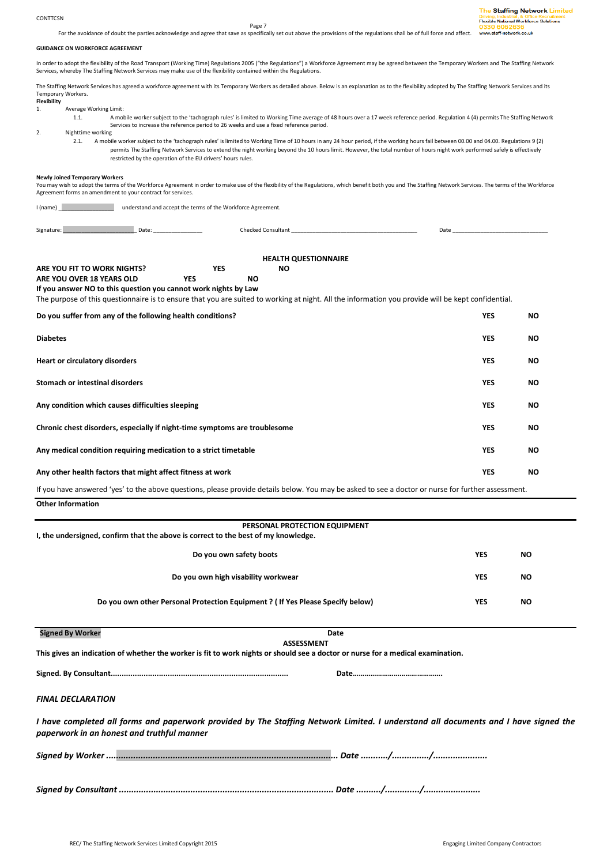#### CONTTCSN

Page 7

For the avoidance of doubt the parties acknowledge and agree that save as specifically set out above the provisions of the regulations shall be of full force and affect.

# **GUIDANCE ON WORKFORCE AGREEMENT**

In order to adopt the flexibility of the Road Transport (Working Time) Regulations 2005 ("the Regulations") a Workforce Agreement may be agreed between the Temporary Workers and The Staffing Network Services, whereby The Staffing Network Services may make use of the flexibility contained within the Regulations.

The Staffing Network Services has agreed a workforce agreement with its Temporary Workers as detailed above. Below is an explanation as to the flexibility adopted by The Staffing Network Services and its Temporary Workers.

# **Flexibility**

- Average Working Limit:
	- 1.1. A mobile worker subject to the 'tachograph rules' is limited to Working Time average of 48 hours over a 17 week reference period. Regulation 4 (4) permits The Staffing Network Services to increase the reference period to 26 weeks and use a fixed reference period.

2. Nighttime working

2.1. A mobile worker subject to the 'tachograph rules' is limited to Working Time of 10 hours in any 24 hour period, if the working hours fail between 00.00 and 04.00. Regulations 9 (2) permits The Staffing Network Services to extend the night working beyond the 10 hours limit. However, the total number of hours night work performed safely is effectively restricted by the operation of the EU drivers' hours rules.

#### **Newly Joined Temporary Workers**

You may wish to adopt the terms of the Workforce Agreement in order to make use of the flexibility of the Regulations, which benefit both you and The Staffing Network Services. The terms of the Workforce Agreement forms an amendment to your contract for services.

I (name) \_\_\_\_\_\_\_\_\_\_\_\_\_\_\_\_\_\_ understand and accept the terms of the Workforce Agreement.

Signature: \_\_\_\_\_\_\_\_\_\_\_\_\_\_\_\_\_\_\_\_\_\_\_\_ Date: \_\_\_\_\_\_\_\_\_\_\_\_\_\_\_\_ Checked Consultant \_\_\_\_\_\_\_\_\_\_\_\_\_\_\_\_\_\_\_\_\_\_\_\_\_\_\_\_\_\_\_\_\_\_\_\_\_\_\_\_\_ Date \_\_\_\_\_\_\_\_\_\_\_\_\_\_\_\_\_\_\_\_\_\_\_\_\_\_\_\_\_\_\_

| <b>HEALTH QUESTIONNAIRE</b>                                                                                                                        |            |           |           |  |  |  |            |           |
|----------------------------------------------------------------------------------------------------------------------------------------------------|------------|-----------|-----------|--|--|--|------------|-----------|
| ARE YOU FIT TO WORK NIGHTS?                                                                                                                        | <b>YES</b> |           | <b>NO</b> |  |  |  |            |           |
| ARE YOU OVER 18 YEARS OLD                                                                                                                          | <b>YES</b> | <b>NO</b> |           |  |  |  |            |           |
| If you answer NO to this question you cannot work nights by Law                                                                                    |            |           |           |  |  |  |            |           |
| The purpose of this questionnaire is to ensure that you are suited to working at night. All the information you provide will be kept confidential. |            |           |           |  |  |  |            |           |
| Do you suffer from any of the following health conditions?                                                                                         |            |           |           |  |  |  | <b>YES</b> | NO.       |
|                                                                                                                                                    |            |           |           |  |  |  |            |           |
| <b>Diabetes</b>                                                                                                                                    |            |           |           |  |  |  | <b>YES</b> | <b>NO</b> |
|                                                                                                                                                    |            |           |           |  |  |  |            |           |
| <b>Heart or circulatory disorders</b>                                                                                                              |            |           |           |  |  |  | <b>YES</b> | NO.       |
| Stomach or intestinal disorders                                                                                                                    |            |           |           |  |  |  | <b>YES</b> | <b>NO</b> |
|                                                                                                                                                    |            |           |           |  |  |  |            |           |
| Any condition which causes difficulties sleeping                                                                                                   |            |           |           |  |  |  | <b>YES</b> | <b>NO</b> |
|                                                                                                                                                    |            |           |           |  |  |  |            |           |
| Chronic chest disorders, especially if night-time symptoms are troublesome                                                                         |            |           |           |  |  |  | <b>YES</b> | <b>NO</b> |
|                                                                                                                                                    |            |           |           |  |  |  | <b>YES</b> | <b>NO</b> |
| Any medical condition requiring medication to a strict timetable                                                                                   |            |           |           |  |  |  |            |           |
| Any other health factors that might affect fitness at work                                                                                         |            |           |           |  |  |  | <b>YES</b> | NO.       |
| If you have answered 'yes' to the above questions, please provide details below. You may be asked to see a doctor or nurse for further assessment. |            |           |           |  |  |  |            |           |
| <b>Other Information</b>                                                                                                                           |            |           |           |  |  |  |            |           |
|                                                                                                                                                    |            |           |           |  |  |  |            |           |

| PERSONAL PROTECTION EQUIPMENT<br>I, the undersigned, confirm that the above is correct to the best of my knowledge. |            |           |  |  |  |  |
|---------------------------------------------------------------------------------------------------------------------|------------|-----------|--|--|--|--|
| Do you own safety boots                                                                                             | <b>YES</b> | <b>NO</b> |  |  |  |  |
| Do you own high visability workwear                                                                                 | <b>YES</b> | <b>NO</b> |  |  |  |  |
| Do you own other Personal Protection Equipment ? (If Yes Please Specify below)                                      | <b>YES</b> | <b>NO</b> |  |  |  |  |

**Signed By Worker Date** 

**ASSESSMENT** 

**This gives an indication of whether the worker is fit to work nights or should see a doctor or nurse for a medical examination.** 

**Signed. By Consultant................................................................................. Date……………………………………….** 

# *FINAL DECLARATION*

*I have completed all forms and paperwork provided by The Staffing Network Limited. I understand all documents and I have signed the paperwork in an honest and truthful manner* 

*Signed by Worker .............................................................................................. Date .........../.............../......................* 

*Signed by Consultant ....................................................................................... Date ........../............../.......................*